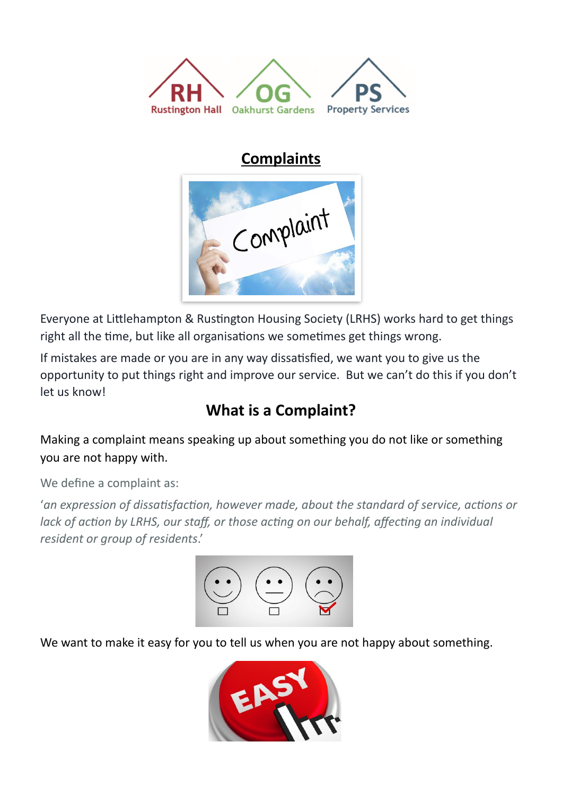

#### **Complaints**



Everyone at Littlehampton & Rustington Housing Society (LRHS) works hard to get things right all the time, but like all organisations we sometimes get things wrong.

If mistakes are made or you are in any way dissatisfied, we want you to give us the opportunity to put things right and improve our service. But we can't do this if you don't let us know!

# **What is a Complaint?**

Making a complaint means speaking up about something you do not like or something you are not happy with.

We define a complaint as:

'*an expression of dissatisfaction, however made, about the standard of service, actions or lack of action by LRHS, our staff, or those acting on our behalf, affecting an individual resident or group of residents*.'



We want to make it easy for you to tell us when you are not happy about something.

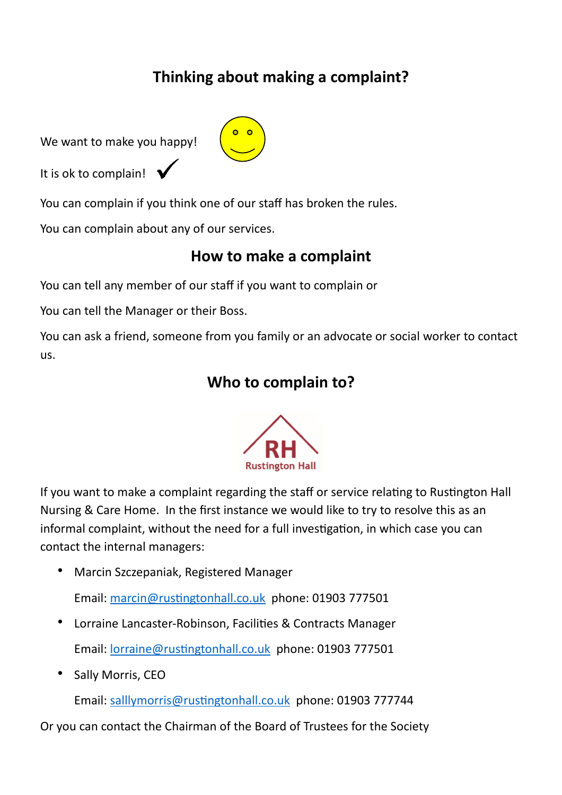# **Thinking about making a complaint?**

We want to make you happy!

It is ok to complain!  $\blacktriangledown$ 

You can complain if you think one of our staff has broken the rules.

You can complain about any of our services.

#### **How to make a complaint**

You can tell any member of our staff if you want to complain or

You can tell the Manager or their Boss.

You can ask a friend, someone from you family or an advocate or social worker to contact us.

### **Who to complain to?**



If you want to make a complaint regarding the staff or service relating to Rustington Hall Nursing & Care Home. In the first instance we would like to try to resolve this as an informal complaint, without the need for a full investigation, in which case you can contact the internal managers:

• Marcin Szczepaniak, Registered Manager

Email: [marcin@rustingtonhall.co.uk](mailto:marcin@rustingtonhall.co.uk) phone: 01903 777501

- Lorraine Lancaster-Robinson, Facilities & Contracts Manager Email: [lorraine@rustingtonhall.co.uk](mailto:lorraine@rustingtonhall.co.uk) phone: 01903 777501
- Sally Morris, CEO

Email: [salllymorris@rustingtonhall.co.uk](mailto:salllymorris@rustingtonhall.co.uk) phone: 01903 777744

Or you can contact the Chairman of the Board of Trustees for the Society

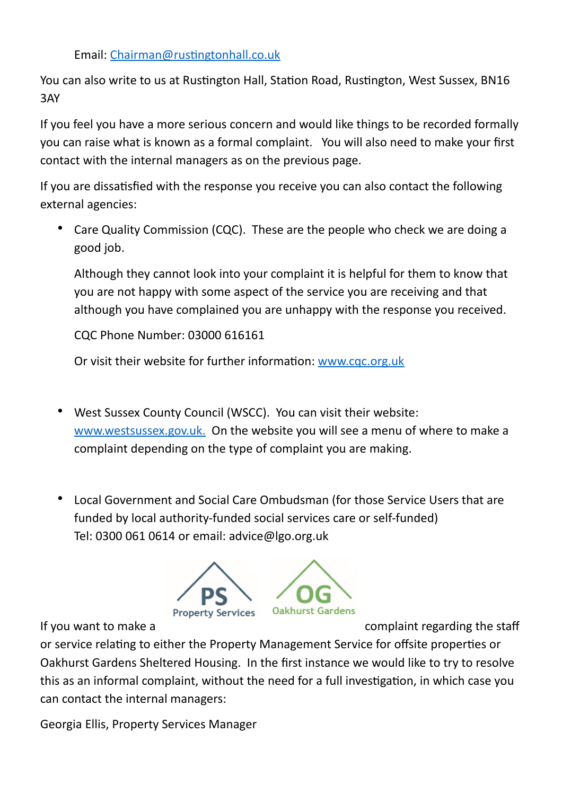#### Email: [Chairman@rustingtonhall.co.uk](mailto:Chairman@rustingtonhall.co.uk)

You can also write to us at Rustington Hall, Station Road, Rustington, West Sussex, BN16 3AY

If you feel you have a more serious concern and would like things to be recorded formally you can raise what is known as a formal complaint. You will also need to make your first contact with the internal managers as on the previous page.

If you are dissatisfied with the response you receive you can also contact the following external agencies:

• Care Quality Commission (CQC). These are the people who check we are doing a good job.

Although they cannot look into your complaint it is helpful for them to know that you are not happy with some aspect of the service you are receiving and that although you have complained you are unhappy with the response you received.

CQC Phone Number: 03000 616161

Or visit their website for further information: [www.cqc.org.uk](http://www.cqc.org.uk)

- West Sussex County Council (WSCC). You can visit their website: [www.westsussex.gov.uk](http://www.westsussex.gov.uk). On the website you will see a menu of where to make a complaint depending on the type of complaint you are making.
- Local Government and Social Care Ombudsman (for those Service Users that are funded by local authority-funded social services care or self-funded) Tel: 0300 061 0614 or email: advice@lgo.org.uk



If you want to make a complaint regarding the staff

or service relating to either the Property Management Service for offsite properties or Oakhurst Gardens Sheltered Housing. In the first instance we would like to try to resolve this as an informal complaint, without the need for a full investigation, in which case you can contact the internal managers:

Georgia Ellis, Property Services Manager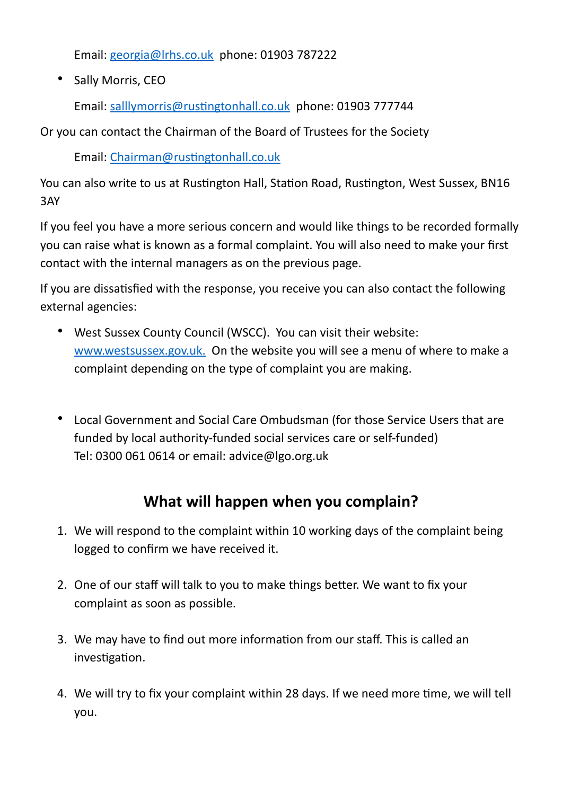Email: [georgia@lrhs.co.uk](mailto:georgia@lrhs.co.uk) phone: 01903 787222

• Sally Morris, CEO

Email: [salllymorris@rustingtonhall.co.uk](mailto:salllymorris@rustingtonhall.co.uk) phone: 01903 777744

Or you can contact the Chairman of the Board of Trustees for the Society

Email: [Chairman@rustingtonhall.co.uk](mailto:Chairman@rustingtonhall.co.uk)

You can also write to us at Rustington Hall, Station Road, Rustington, West Sussex, BN16 3AY

If you feel you have a more serious concern and would like things to be recorded formally you can raise what is known as a formal complaint. You will also need to make your first contact with the internal managers as on the previous page.

If you are dissatisfied with the response, you receive you can also contact the following external agencies:

- West Sussex County Council (WSCC). You can visit their website: [www.westsussex.gov.uk](http://www.westsussex.gov.uk). On the website you will see a menu of where to make a complaint depending on the type of complaint you are making.
- Local Government and Social Care Ombudsman (for those Service Users that are funded by local authority-funded social services care or self-funded) Tel: 0300 061 0614 or email: advice@lgo.org.uk

## **What will happen when you complain?**

- 1. We will respond to the complaint within 10 working days of the complaint being logged to confirm we have received it.
- 2. One of our staff will talk to you to make things better. We want to fix your complaint as soon as possible.
- 3. We may have to find out more information from our staff. This is called an investigation.
- 4. We will try to fix your complaint within 28 days. If we need more time, we will tell you.